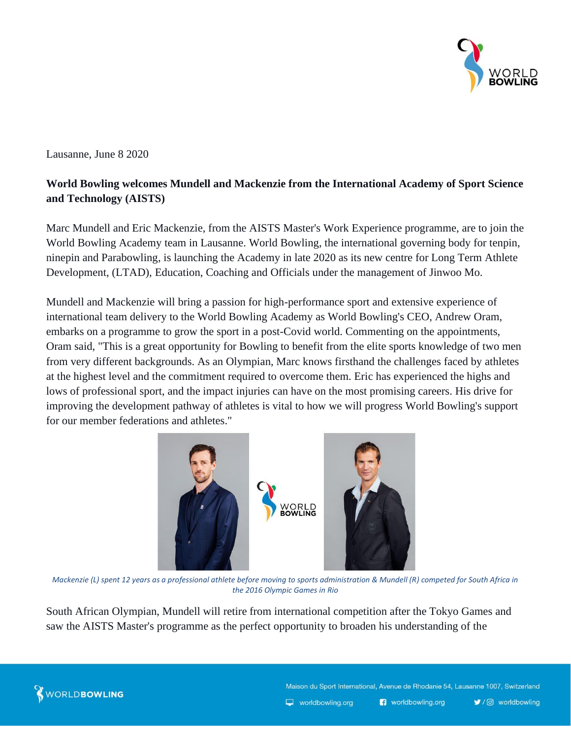

Lausanne, June 8 2020

## **World Bowling welcomes Mundell and Mackenzie from the International Academy of Sport Science and Technology (AISTS)**

Marc Mundell and Eric Mackenzie, from the AISTS Master's Work Experience programme, are to join the World Bowling Academy team in Lausanne. World Bowling, the international governing body for tenpin, ninepin and Parabowling, is launching the Academy in late 2020 as its new centre for Long Term Athlete Development, (LTAD), Education, Coaching and Officials under the management of Jinwoo Mo.

Mundell and Mackenzie will bring a passion for high-performance sport and extensive experience of international team delivery to the World Bowling Academy as World Bowling's CEO, Andrew Oram, embarks on a programme to grow the sport in a post-Covid world. Commenting on the appointments, Oram said, "This is a great opportunity for Bowling to benefit from the elite sports knowledge of two men from very different backgrounds. As an Olympian, Marc knows firsthand the challenges faced by athletes at the highest level and the commitment required to overcome them. Eric has experienced the highs and lows of professional sport, and the impact injuries can have on the most promising careers. His drive for improving the development pathway of athletes is vital to how we will progress World Bowling's support for our member federations and athletes."



*Mackenzie (L) spent 12 years as a professional athlete before moving to sports administration & Mundell (R) competed for South Africa in the 2016 Olympic Games in Rio*

South African Olympian, Mundell will retire from international competition after the Tokyo Games and saw the AISTS Master's programme as the perfect opportunity to broaden his understanding of the



Maison du Sport International, Avenue de Rhodanie 54, Lausanne 1007, Switzerland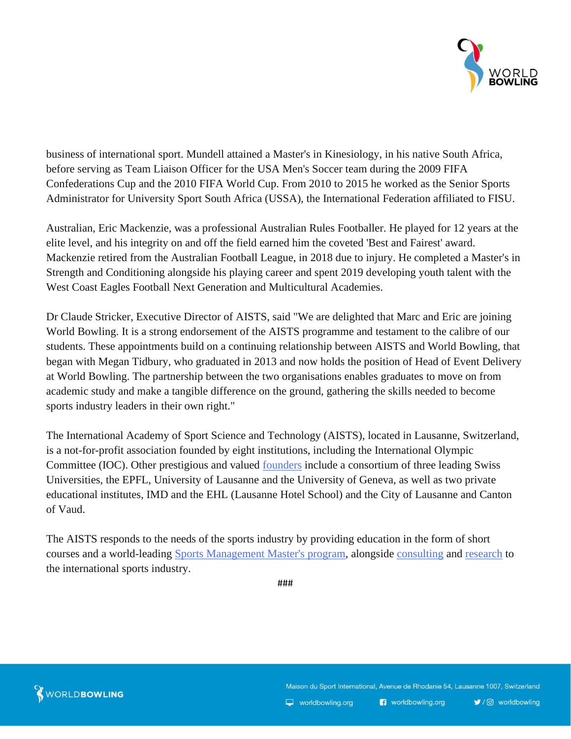

business of international sport. Mundell attained a Master's in Kinesiology, in his native South Africa, before serving as Team Liaison Officer for the USA Men's Soccer team during the 2009 FIFA Confederations Cup and the 2010 FIFA World Cup. From 2010 to 2015 he worked as the Senior Sports Administrator for University Sport South Africa (USSA), the International Federation affiliated to FISU.

Australian, Eric Mackenzie, was a professional Australian Rules Footballer. He played for 12 years at the elite level, and his integrity on and off the field earned him the coveted 'Best and Fairest' award. Mackenzie retired from the Australian Football League, in 2018 due to injury. He completed a Master's in Strength and Conditioning alongside his playing career and spent 2019 developing youth talent with the West Coast Eagles Football Next Generation and Multicultural Academies.

Dr Claude Stricker, Executive Director of AISTS, said "We are delighted that Marc and Eric are joining World Bowling. It is a strong endorsement of the AISTS programme and testament to the calibre of our students. These appointments build on a continuing relationship between AISTS and World Bowling, that began with Megan Tidbury, who graduated in 2013 and now holds the position of Head of Event Delivery at World Bowling. The partnership between the two organisations enables graduates to move on from academic study and make a tangible difference on the ground, gathering the skills needed to become sports industry leaders in their own right."

The International Academy of Sport Science and Technology (AISTS), located in Lausanne, Switzerland, is a not-for-profit association founded by eight institutions, including the International Olympic Committee (IOC). Other prestigious and valued [founders](https://aists.org/about/founders/) include a consortium of three leading Swiss Universities, the EPFL, University of Lausanne and the University of Geneva, as well as two private educational institutes, IMD and the EHL (Lausanne Hotel School) and the City of Lausanne and Canton of Vaud.

The AISTS responds to the needs of the sports industry by providing education in the form of short courses and a world-leading [Sports Management Master's program,](https://aists.org/education/masters-degree/) alongside [consulting](https://aists.org/consulting-services/) and [research](https://aists.org/consulting-services/research-capabilities/) to the international sports industry.

###



Maison du Sport International, Avenue de Rhodanie 54, Lausanne 1007, Switzerland